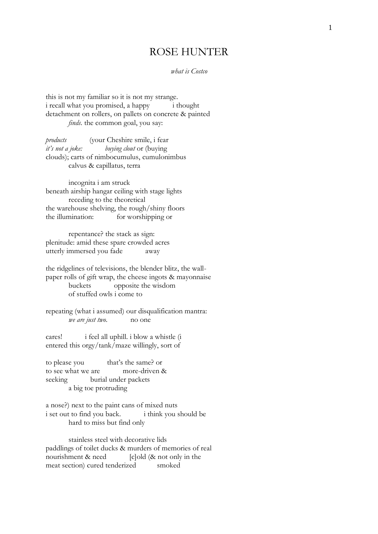## ROSE HUNTER

*what is Costco*

this is not my familiar so it is not my strange. i recall what you promised, a happy i thought detachment on rollers, on pallets on concrete & painted *finds*. the common goal, you say:

*products* (your Cheshire smile, i fear *it's not a joke: buying clout* or (buying clouds); carts of nimbocumulus, cumulonimbus calvus & capillatus, terra

incognita i am struck beneath airship hangar ceiling with stage lights receding to the theoretical the warehouse shelving, the rough/shiny floors the illumination: for worshipping or

repentance? the stack as sign: plenitude: amid these spare crowded acres utterly immersed you fade away

the ridgelines of televisions, the blender blitz, the wallpaper rolls of gift wrap, the cheese ingots & mayonnaise buckets opposite the wisdom of stuffed owls i come to

repeating (what i assumed) our disqualification mantra: *we are just two*. no one

cares! i feel all uphill. i blow a whistle (i entered this orgy/tank/maze willingly, sort of

to please you that's the same? or to see what we are more-driven & seeking burial under packets a big toe protruding

a nose?) next to the paint cans of mixed nuts i set out to find you back. i think you should be hard to miss but find only

stainless steel with decorative lids paddlings of toilet ducks & murders of memories of real nourishment  $\&$  need  $\qquad$  [c]old  $(\&$  not only in the meat section) cured tenderized smoked